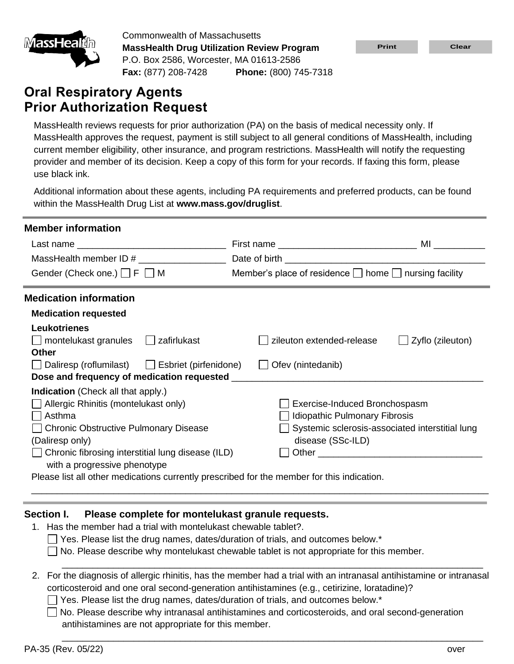

Commonwealth of Massachusetts **MassHealth Drug Utilization Review Program** P.O. Box 2586, Worcester, MA 01613-2586 **Fax:** (877) 208-7428 **Phone:** (800) 745-7318

# **Oral Respiratory Agents Prior Authorization Request**

| <u>IMIGISSI TEGIUNI</u>                                                                                                                                                                                                                                                              | <b>MassHealth Drug Utilization Review Program</b>                                                                                                                                                                      |                                                                                                                                                                                                                                                                                                                                                                                                                                                                                                                                                                                               | <b>Print</b>                  | <b>Clear</b>     |
|--------------------------------------------------------------------------------------------------------------------------------------------------------------------------------------------------------------------------------------------------------------------------------------|------------------------------------------------------------------------------------------------------------------------------------------------------------------------------------------------------------------------|-----------------------------------------------------------------------------------------------------------------------------------------------------------------------------------------------------------------------------------------------------------------------------------------------------------------------------------------------------------------------------------------------------------------------------------------------------------------------------------------------------------------------------------------------------------------------------------------------|-------------------------------|------------------|
|                                                                                                                                                                                                                                                                                      | P.O. Box 2586, Worcester, MA 01613-2586                                                                                                                                                                                |                                                                                                                                                                                                                                                                                                                                                                                                                                                                                                                                                                                               |                               |                  |
|                                                                                                                                                                                                                                                                                      | <b>Fax:</b> (877) 208-7428                                                                                                                                                                                             | Phone: (800) 745-7318                                                                                                                                                                                                                                                                                                                                                                                                                                                                                                                                                                         |                               |                  |
| <b>Oral Respiratory Agents</b>                                                                                                                                                                                                                                                       |                                                                                                                                                                                                                        |                                                                                                                                                                                                                                                                                                                                                                                                                                                                                                                                                                                               |                               |                  |
| <b>Prior Authorization Request</b>                                                                                                                                                                                                                                                   |                                                                                                                                                                                                                        |                                                                                                                                                                                                                                                                                                                                                                                                                                                                                                                                                                                               |                               |                  |
| use black ink.                                                                                                                                                                                                                                                                       |                                                                                                                                                                                                                        | MassHealth reviews requests for prior authorization (PA) on the basis of medical necessity only. If<br>MassHealth approves the request, payment is still subject to all general conditions of MassHealth, including<br>current member eligibility, other insurance, and program restrictions. MassHealth will notify the requesting<br>provider and member of its decision. Keep a copy of this form for your records. If faxing this form, please                                                                                                                                            |                               |                  |
|                                                                                                                                                                                                                                                                                      | within the MassHealth Drug List at www.mass.gov/druglist.                                                                                                                                                              | Additional information about these agents, including PA requirements and preferred products, can be found                                                                                                                                                                                                                                                                                                                                                                                                                                                                                     |                               |                  |
| <b>Member information</b>                                                                                                                                                                                                                                                            |                                                                                                                                                                                                                        |                                                                                                                                                                                                                                                                                                                                                                                                                                                                                                                                                                                               |                               |                  |
|                                                                                                                                                                                                                                                                                      |                                                                                                                                                                                                                        |                                                                                                                                                                                                                                                                                                                                                                                                                                                                                                                                                                                               |                               |                  |
|                                                                                                                                                                                                                                                                                      | MassHealth member ID # _________________                                                                                                                                                                               | Date of birth and the contract of the contract of the contract of the contract of the contract of the contract of the contract of the contract of the contract of the contract of the contract of the contract of the contract                                                                                                                                                                                                                                                                                                                                                                |                               |                  |
| Gender (Check one.) $\Box$ F $\Box$ M                                                                                                                                                                                                                                                |                                                                                                                                                                                                                        | Member's place of residence $\Box$ home $\Box$ nursing facility                                                                                                                                                                                                                                                                                                                                                                                                                                                                                                                               |                               |                  |
| <b>Medication information</b><br><b>Medication requested</b><br><b>Leukotrienes</b><br>$\Box$ montelukast granules<br><b>Other</b><br><b>Indication</b> (Check all that apply.)<br>Allergic Rhinitis (montelukast only)<br>Asthma<br>(Daliresp only)<br>with a progressive phenotype | $\Box$ zafirlukast<br>□ Daliresp (roflumilast) □ Esbriet (pirfenidone)<br>Dose and frequency of medication requested _<br>□ Chronic Obstructive Pulmonary Disease<br>Chronic fibrosing interstitial lung disease (ILD) | zileuton extended-release<br>$\Box$ Ofev (nintedanib)<br><b>Idiopathic Pulmonary Fibrosis</b><br>Systemic sclerosis-associated interstitial lung<br>disease (SSc-ILD)<br>Please list all other medications currently prescribed for the member for this indication.                                                                                                                                                                                                                                                                                                                           | Exercise-Induced Bronchospasm | Zyflo (zileuton) |
| Section I.<br>2.                                                                                                                                                                                                                                                                     | Please complete for montelukast granule requests.<br>1. Has the member had a trial with montelukast chewable tablet?.<br>antihistamines are not appropriate for this member.                                           | $\Box$ Yes. Please list the drug names, dates/duration of trials, and outcomes below.*<br>No. Please describe why montelukast chewable tablet is not appropriate for this member.<br>For the diagnosis of allergic rhinitis, has the member had a trial with an intranasal antihistamine or intranasa<br>corticosteroid and one oral second-generation antihistamines (e.g., cetirizine, loratadine)?<br>Yes. Please list the drug names, dates/duration of trials, and outcomes below.*<br>No. Please describe why intranasal antihistamines and corticosteroids, and oral second-generation |                               |                  |
| PA-35 (Rev. 05/22)                                                                                                                                                                                                                                                                   |                                                                                                                                                                                                                        |                                                                                                                                                                                                                                                                                                                                                                                                                                                                                                                                                                                               |                               | over             |

## **Section I. Please complete for montelukast granule requests.**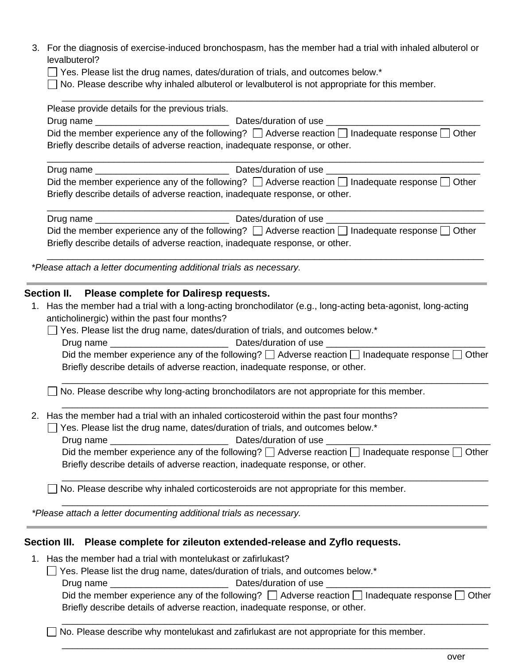3. For the diagnosis of exercise-induced bronchospasm, has the member had a trial with inhaled albuterol or levalbuterol?

\_\_\_\_\_\_\_\_\_\_\_\_\_\_\_\_\_\_\_\_\_\_\_\_\_\_\_\_\_\_\_\_\_\_\_\_\_\_\_\_\_\_\_\_\_\_\_\_\_\_\_\_\_\_\_\_\_\_\_\_\_\_\_\_\_\_\_\_\_\_\_\_\_\_\_\_\_\_\_\_\_\_

- $\Box$  Yes. Please list the drug names, dates/duration of trials, and outcomes below.\*
- $\Box$  No. Please describe why inhaled albuterol or levalbuterol is not appropriate for this member.

Please provide details for the previous trials. Drug name **Dates/duration of use**  $\Box$ Did the member experience any of the following?  $\Box$  Adverse reaction  $\Box$  Inadequate response  $\Box$  Other Briefly describe details of adverse reaction, inadequate response, or other. \_\_\_\_\_\_\_\_\_\_\_\_\_\_\_\_\_\_\_\_\_\_\_\_\_\_\_\_\_\_\_\_\_\_\_\_\_\_\_\_\_\_\_\_\_\_\_\_\_\_\_\_\_\_\_\_\_\_\_\_\_\_\_\_\_\_\_\_\_\_\_\_\_\_\_\_\_\_\_\_\_\_\_\_\_ Drug name \_\_\_\_\_\_\_\_\_\_\_\_\_\_\_\_\_\_\_\_\_\_\_\_\_\_ Dates/duration of use \_\_\_\_\_\_\_\_\_\_\_\_\_\_\_\_\_\_\_\_\_\_\_\_\_\_\_\_\_\_ Did the member experience any of the following?  $\Box$  Adverse reaction  $\Box$  Inadequate response  $\Box$  Other Briefly describe details of adverse reaction, inadequate response, or other. \_\_\_\_\_\_\_\_\_\_\_\_\_\_\_\_\_\_\_\_\_\_\_\_\_\_\_\_\_\_\_\_\_\_\_\_\_\_\_\_\_\_\_\_\_\_\_\_\_\_\_\_\_\_\_\_\_\_\_\_\_\_\_\_\_\_\_\_\_\_\_\_\_\_\_\_\_\_\_\_\_\_\_\_\_ Drug name \_\_\_\_\_\_\_\_\_\_\_\_\_\_\_\_\_\_\_\_\_\_\_\_\_\_ Dates/duration of use \_\_\_\_\_\_\_\_\_\_\_\_\_\_\_\_\_\_\_\_\_\_\_\_\_\_\_\_\_\_\_ Did the member experience any of the following?  $\Box$  Adverse reaction  $\Box$  Inadequate response  $\Box$  Other Briefly describe details of adverse reaction, inadequate response, or other. \_\_\_\_\_\_\_\_\_\_\_\_\_\_\_\_\_\_\_\_\_\_\_\_\_\_\_\_\_\_\_\_\_\_\_\_\_\_\_\_\_\_\_\_\_\_\_\_\_\_\_\_\_\_\_\_\_\_\_\_\_\_\_\_\_\_\_\_\_\_\_\_\_\_\_\_\_\_\_\_\_\_\_\_\_ *\*Please attach a letter documenting additional trials as necessary.* **Section II. Please complete for Daliresp requests.** 1. Has the member had a trial with a long-acting bronchodilator (e.g., long-acting beta-agonist, long-acting anticholinergic) within the past four months?  $\Box$  Yes. Please list the drug name, dates/duration of trials, and outcomes below.\* Drug name \_\_\_\_\_\_\_\_\_\_\_\_\_\_\_\_\_\_\_\_\_\_\_ Dates/duration of use \_\_\_\_\_\_\_\_\_\_\_\_\_\_\_\_\_\_\_\_\_\_\_\_\_\_\_\_\_\_\_ Did the member experience any of the following?  $\Box$  Adverse reaction  $\Box$  Inadequate response  $\Box$  Other Briefly describe details of adverse reaction, inadequate response, or other. \_\_\_\_\_\_\_\_\_\_\_\_\_\_\_\_\_\_\_\_\_\_\_\_\_\_\_\_\_\_\_\_\_\_\_\_\_\_\_\_\_\_\_\_\_\_\_\_\_\_\_\_\_\_\_\_\_\_\_\_\_\_\_\_\_\_\_\_\_\_\_\_\_\_\_\_\_\_\_\_\_\_\_  $\Box$  No. Please describe why long-acting bronchodilators are not appropriate for this member. \_\_\_\_\_\_\_\_\_\_\_\_\_\_\_\_\_\_\_\_\_\_\_\_\_\_\_\_\_\_\_\_\_\_\_\_\_\_\_\_\_\_\_\_\_\_\_\_\_\_\_\_\_\_\_\_\_\_\_\_\_\_\_\_\_\_\_\_\_\_\_\_\_\_\_\_\_\_\_\_\_\_\_ 2. Has the member had a trial with an inhaled corticosteroid within the past four months? □ Yes. Please list the drug name, dates/duration of trials, and outcomes below.<sup>\*</sup> Drug name \_\_\_\_\_\_\_\_\_\_\_\_\_\_\_\_\_\_\_\_\_\_\_ Dates/duration of use \_\_\_\_\_\_\_\_\_\_\_\_\_\_\_\_\_\_\_\_\_\_\_\_\_\_\_\_\_\_\_\_ Did the member experience any of the following?  $\Box$  Adverse reaction  $\Box$  Inadequate response  $\Box$  Other Briefly describe details of adverse reaction, inadequate response, or other. \_\_\_\_\_\_\_\_\_\_\_\_\_\_\_\_\_\_\_\_\_\_\_\_\_\_\_\_\_\_\_\_\_\_\_\_\_\_\_\_\_\_\_\_\_\_\_\_\_\_\_\_\_\_\_\_\_\_\_\_\_\_\_\_\_\_\_\_\_\_\_\_\_\_\_\_\_\_\_\_\_\_\_ □ No. Please describe why inhaled corticosteroids are not appropriate for this member. \_\_\_\_\_\_\_\_\_\_\_\_\_\_\_\_\_\_\_\_\_\_\_\_\_\_\_\_\_\_\_\_\_\_\_\_\_\_\_\_\_\_\_\_\_\_\_\_\_\_\_\_\_\_\_\_\_\_\_\_\_\_\_\_\_\_\_\_\_\_\_\_\_\_\_\_\_\_\_\_\_\_\_ *\*Please attach a letter documenting additional trials as necessary.* **Section III. Please complete for zileuton extended-release and Zyflo requests.**

- 1. Has the member had a trial with montelukast or zafirlukast?
	- $\Box$  Yes. Please list the drug name, dates/duration of trials, and outcomes below.\*

Drug name \_\_\_\_\_\_\_\_\_\_\_\_\_\_\_\_\_\_\_\_\_\_\_ Dates/duration of use \_\_\_\_\_\_\_\_\_\_\_\_\_\_\_\_\_\_\_\_\_\_\_\_\_\_\_\_\_\_\_\_

Did the member experience any of the following?  $\Box$  Adverse reaction  $\Box$  Inadequate response  $\Box$  Other Briefly describe details of adverse reaction, inadequate response, or other.

\_\_\_\_\_\_\_\_\_\_\_\_\_\_\_\_\_\_\_\_\_\_\_\_\_\_\_\_\_\_\_\_\_\_\_\_\_\_\_\_\_\_\_\_\_\_\_\_\_\_\_\_\_\_\_\_\_\_\_\_\_\_\_\_\_\_\_\_\_\_\_\_\_\_\_\_\_\_\_\_\_\_\_

\_\_\_\_\_\_\_\_\_\_\_\_\_\_\_\_\_\_\_\_\_\_\_\_\_\_\_\_\_\_\_\_\_\_\_\_\_\_\_\_\_\_\_\_\_\_\_\_\_\_\_\_\_\_\_\_\_\_\_\_\_\_\_\_\_\_\_\_\_\_\_\_\_\_\_\_\_\_\_\_\_\_\_

 $\Box$  No. Please describe why montelukast and zafirlukast are not appropriate for this member.